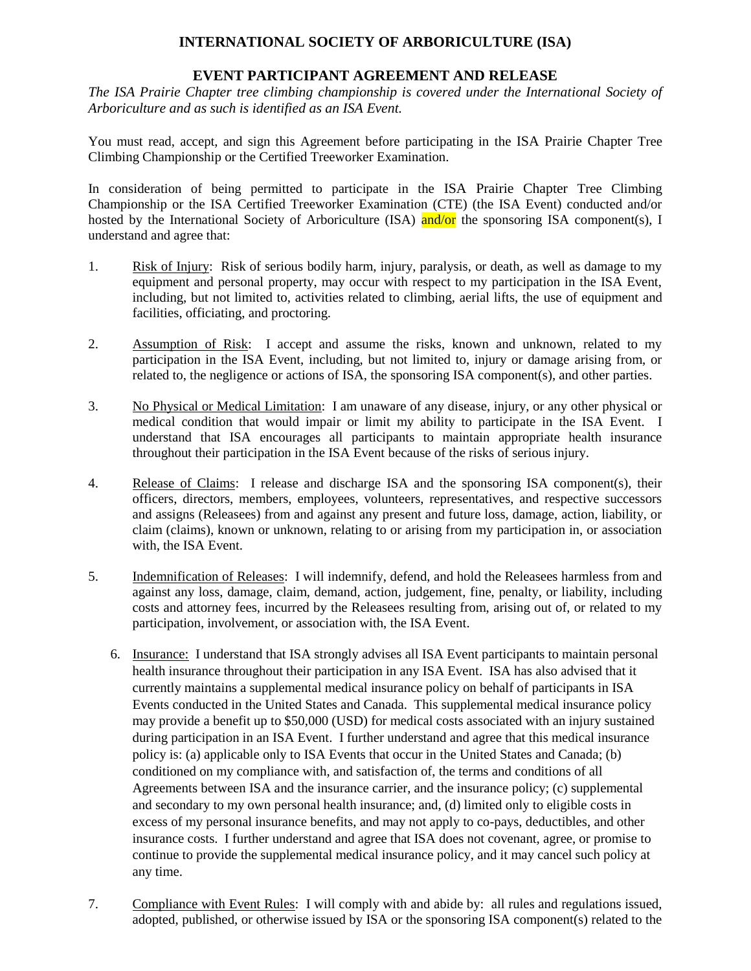## **INTERNATIONAL SOCIETY OF ARBORICULTURE (ISA)**

## **EVENT PARTICIPANT AGREEMENT AND RELEASE**

*The ISA Prairie Chapter tree climbing championship is covered under the International Society of Arboriculture and as such is identified as an ISA Event.*

You must read, accept, and sign this Agreement before participating in the ISA Prairie Chapter Tree Climbing Championship or the Certified Treeworker Examination.

In consideration of being permitted to participate in the ISA Prairie Chapter Tree Climbing Championship or the ISA Certified Treeworker Examination (CTE) (the ISA Event) conducted and/or hosted by the International Society of Arboriculture (ISA) and/or the sponsoring ISA component(s), I understand and agree that:

- 1. Risk of Injury: Risk of serious bodily harm, injury, paralysis, or death, as well as damage to my equipment and personal property, may occur with respect to my participation in the ISA Event, including, but not limited to, activities related to climbing, aerial lifts, the use of equipment and facilities, officiating, and proctoring.
- 2. Assumption of Risk: I accept and assume the risks, known and unknown, related to my participation in the ISA Event, including, but not limited to, injury or damage arising from, or related to, the negligence or actions of ISA, the sponsoring ISA component(s), and other parties.
- 3. No Physical or Medical Limitation: I am unaware of any disease, injury, or any other physical or medical condition that would impair or limit my ability to participate in the ISA Event. I understand that ISA encourages all participants to maintain appropriate health insurance throughout their participation in the ISA Event because of the risks of serious injury.
- 4. Release of Claims: I release and discharge ISA and the sponsoring ISA component(s), their officers, directors, members, employees, volunteers, representatives, and respective successors and assigns (Releasees) from and against any present and future loss, damage, action, liability, or claim (claims), known or unknown, relating to or arising from my participation in, or association with, the ISA Event.
- 5. Indemnification of Releases: I will indemnify, defend, and hold the Releasees harmless from and against any loss, damage, claim, demand, action, judgement, fine, penalty, or liability, including costs and attorney fees, incurred by the Releasees resulting from, arising out of, or related to my participation, involvement, or association with, the ISA Event.
	- 6. Insurance: I understand that ISA strongly advises all ISA Event participants to maintain personal health insurance throughout their participation in any ISA Event. ISA has also advised that it currently maintains a supplemental medical insurance policy on behalf of participants in ISA Events conducted in the United States and Canada. This supplemental medical insurance policy may provide a benefit up to \$50,000 (USD) for medical costs associated with an injury sustained during participation in an ISA Event. I further understand and agree that this medical insurance policy is: (a) applicable only to ISA Events that occur in the United States and Canada; (b) conditioned on my compliance with, and satisfaction of, the terms and conditions of all Agreements between ISA and the insurance carrier, and the insurance policy; (c) supplemental and secondary to my own personal health insurance; and, (d) limited only to eligible costs in excess of my personal insurance benefits, and may not apply to co-pays, deductibles, and other insurance costs. I further understand and agree that ISA does not covenant, agree, or promise to continue to provide the supplemental medical insurance policy, and it may cancel such policy at any time.
- 7. Compliance with Event Rules: I will comply with and abide by: all rules and regulations issued, adopted, published, or otherwise issued by ISA or the sponsoring ISA component(s) related to the